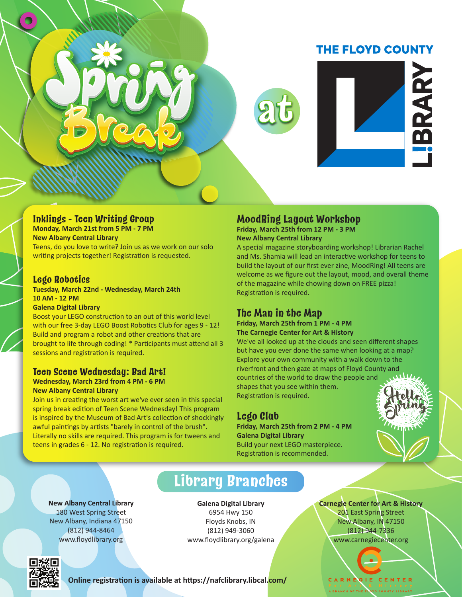# **THE FLOYD COUNTY**



#### **Inklings - Teen Writing Group**

**Monday, March 21st from 5 PM - 7 PM New Albany Central Library**

Teens, do you love to write? Join us as we work on our solo writing projects together! Registration is requested.

#### **Lego Robotics**

**Tuesday, March 22nd - Wednesday, March 24th 10 AM - 12 PM**

**Galena Digital Library**

Boost your LEGO construction to an out of this world level with our free 3-day LEGO Boost Robotics Club for ages 9 - 12! Build and program a robot and other creations that are brought to life through coding! \* Participants must attend all 3 sessions and registration is required.

## **Teen Scene Wednesday: Bad Art!**

**Wednesday, March 23rd from 4 PM - 6 PM New Albany Central Library**

Join us in creating the worst art we've ever seen in this special spring break edition of Teen Scene Wednesday! This program is inspired by the Museum of Bad Art's collection of shockingly awful paintings by artists "barely in control of the brush". Literally no skills are required. This program is for tweens and teens in grades 6 - 12. No registration is required.

#### **MoodRing Layout Workshop Friday, March 25th from 12 PM - 3 PM**

**New Albany Central Library**

A special magazine storyboarding workshop! Librarian Rachel and Ms. Shamia will lead an interactive workshop for teens to build the layout of our first ever zine, MoodRing! All teens are welcome as we figure out the layout, mood, and overall theme of the magazine while chowing down on FREE pizza! Registration is required.

# **The Man in the Map**

**Friday, March 25th from 1 PM - 4 PM**

**The Carnegie Center for Art & History** We've all looked up at the clouds and seen different shapes but have you ever done the same when looking at a map? Explore your own community with a walk down to the riverfront and then gaze at maps of Floyd County and countries of the world to draw the people and shapes that you see within them. Registration is required.

# **Lego Club**

**Friday, March 25th from 2 PM - 4 PM Galena Digital Library** Build your next LEGO masterpiece. Registration is recommended.



**New Albany Central Library** 180 West Spring Street New Albany, Indiana 47150 (812) 944-8464 www.floydlibrary.org

# **Library Branches**

**Galena Digital Library** 6954 Hwy 150 Floyds Knobs, IN (812) 949-3060 www.floydlibrary.org/galena **Carnegie Center for Art & History** 201 East Spring Street New Albany, IN 47150 (812) 944-7336 www.carnegiecenter.org

GIE CENTER



**Online registration is available at https://nafclibrary.libcal.com/**